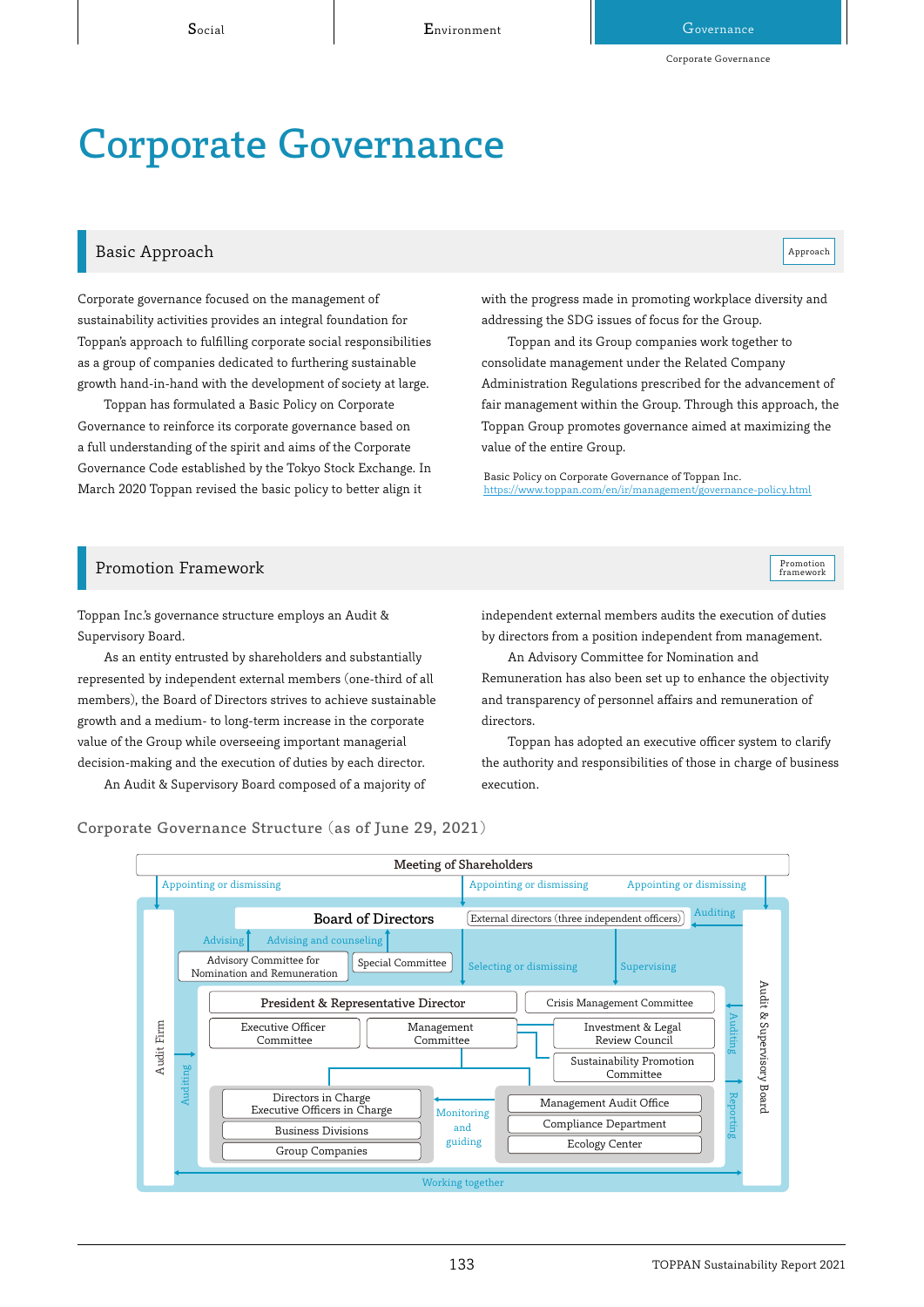# Corporate Governance

## Basic Approach and the contract of the contract of the contract of the contract of the contract of the contract of the contract of the contract of the contract of the contract of the contract of the contract of the contrac

Corporate governance focused on the management of sustainability activities provides an integral foundation for Toppan's approach to fulfilling corporate social responsibilities as a group of companies dedicated to furthering sustainable growth hand-in-hand with the development of society at large.

Toppan has formulated a Basic Policy on Corporate Governance to reinforce its corporate governance based on a full understanding of the spirit and aims of the Corporate Governance Code established by the Tokyo Stock Exchange. In March 2020 Toppan revised the basic policy to better align it

with the progress made in promoting workplace diversity and addressing the SDG issues of focus for the Group.

Toppan and its Group companies work together to consolidate management under the Related Company Administration Regulations prescribed for the advancement of fair management within the Group. Through this approach, the Toppan Group promotes governance aimed at maximizing the value of the entire Group.

Basic Policy on Corporate Governance of Toppan Inc.<br>https://www.toppan.com/en/ir/management/governance-policy.html https://www.toppan.com/en/ir/management/g



Toppan Inc.'s governance structure employs an Audit & Supervisory Board.

As an entity entrusted by shareholders and substantially represented by independent external members (one-third of all members), the Board of Directors strives to achieve sustainable growth and a medium- to long-term increase in the corporate value of the Group while overseeing important managerial decision-making and the execution of duties by each director.

An Audit & Supervisory Board composed of a majority of

independent external members audits the execution of duties by directors from a position independent from management.

An Advisory Committee for Nomination and Remuneration has also been set up to enhance the objectivity and transparency of personnel affairs and remuneration of directors.

Toppan has adopted an executive officer system to clarify the authority and responsibilities of those in charge of business execution.

Corporate Governance Structure (as of June 29, 2021)

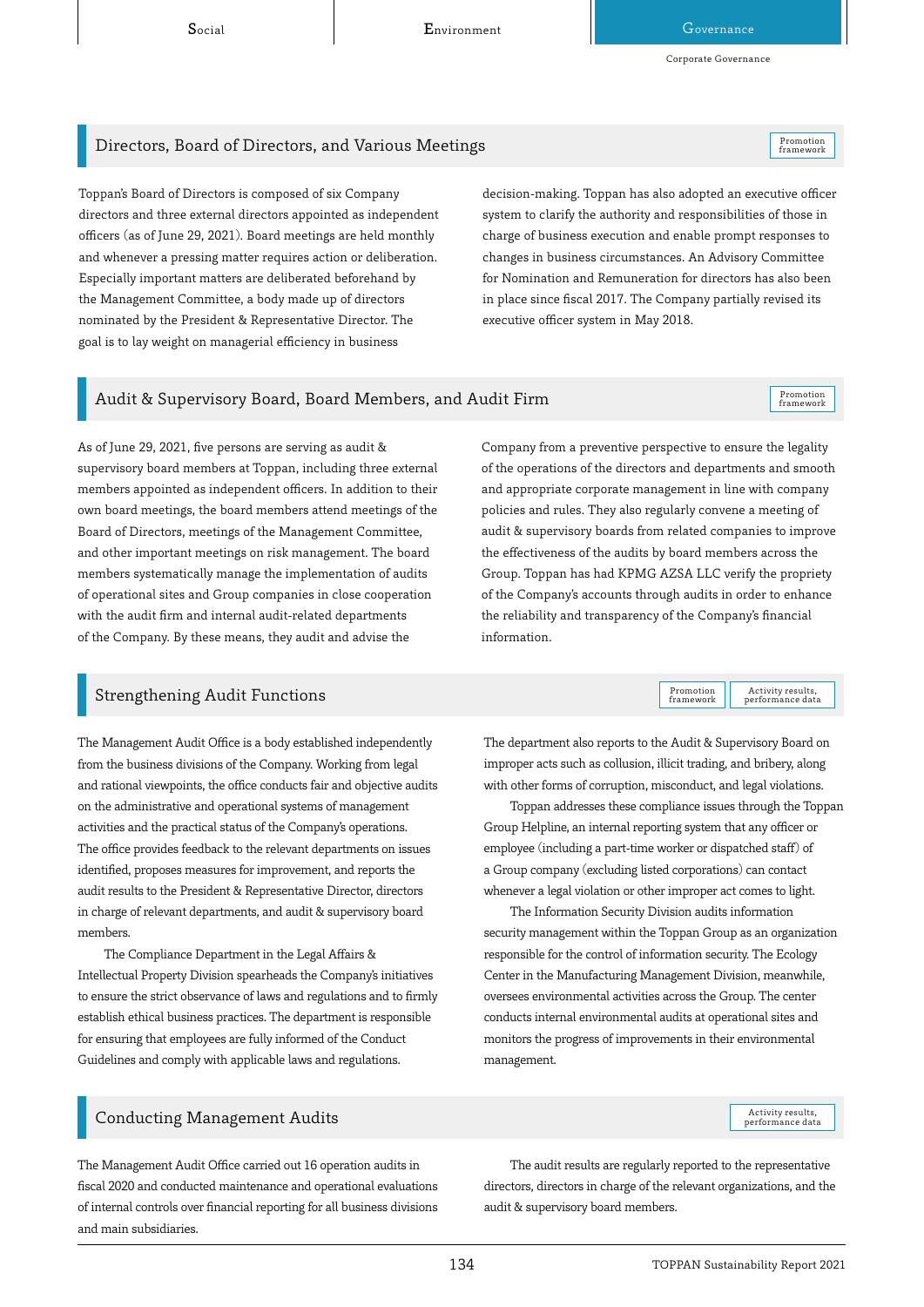Corporate Governance

# Directors, Board of Directors, and Various Meetings Promotion Promotion Promotion

Toppan's Board of Directors is composed of six Company directors and three external directors appointed as independent officers (as of June 29, 2021). Board meetings are held monthly and whenever a pressing matter requires action or deliberation. Especially important matters are deliberated beforehand by the Management Committee, a body made up of directors nominated by the President & Representative Director. The goal is to lay weight on managerial efficiency in business

decision-making. Toppan has also adopted an executive officer system to clarify the authority and responsibilities of those in charge of business execution and enable prompt responses to changes in business circumstances. An Advisory Committee for Nomination and Remuneration for directors has also been in place since fiscal 2017. The Company partially revised its executive officer system in May 2018.

# Audit & Supervisory Board, Board Members, and Audit Firm

As of June 29, 2021, five persons are serving as audit & supervisory board members at Toppan, including three external members appointed as independent officers. In addition to their own board meetings, the board members attend meetings of the Board of Directors, meetings of the Management Committee, and other important meetings on risk management. The board members systematically manage the implementation of audits of operational sites and Group companies in close cooperation with the audit firm and internal audit-related departments of the Company. By these means, they audit and advise the

## Strengthening Audit Functions

The Management Audit Office is a body established independently from the business divisions of the Company. Working from legal and rational viewpoints, the office conducts fair and objective audits on the administrative and operational systems of management activities and the practical status of the Company's operations. The office provides feedback to the relevant departments on issues identified, proposes measures for improvement, and reports the audit results to the President & Representative Director, directors in charge of relevant departments, and audit & supervisory board members.

The Compliance Department in the Legal Affairs & Intellectual Property Division spearheads the Company's initiatives to ensure the strict observance of laws and regulations and to firmly establish ethical business practices. The department is responsible for ensuring that employees are fully informed of the Conduct Guidelines and comply with applicable laws and regulations.

Company from a preventive perspective to ensure the legality of the operations of the directors and departments and smooth and appropriate corporate management in line with company policies and rules. They also regularly convene a meeting of audit & supervisory boards from related companies to improve the effectiveness of the audits by board members across the Group. Toppan has had KPMG AZSA LLC verify the propriety of the Company's accounts through audits in order to enhance the reliability and transparency of the Company's financial information.

> Activity results,<br>performance data Promotion framework

The department also reports to the Audit & Supervisory Board on improper acts such as collusion, illicit trading, and bribery, along with other forms of corruption, misconduct, and legal violations.

Toppan addresses these compliance issues through the Toppan Group Helpline, an internal reporting system that any officer or employee (including a part-time worker or dispatched staff) of a Group company (excluding listed corporations) can contact whenever a legal violation or other improper act comes to light.

The Information Security Division audits information security management within the Toppan Group as an organization responsible for the control of information security. The Ecology Center in the Manufacturing Management Division, meanwhile, oversees environmental activities across the Group. The center conducts internal environmental audits at operational sites and monitors the progress of improvements in their environmental management.

## Conducting Management Audits

The Management Audit Office carried out 16 operation audits in fiscal 2020 and conducted maintenance and operational evaluations of internal controls over financial reporting for all business divisions and main subsidiaries.

The audit results are regularly reported to the representative directors, directors in charge of the relevant organizations, and the audit & supervisory board members.

Activity results,<br>performance data

framework

Promotion<br>framework